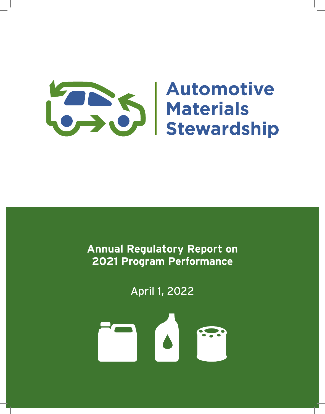

# **Annual Regulatory Report on 2021 Program Performance**

April 1, 2022

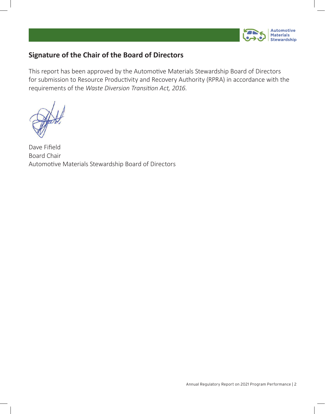

# **Signature of the Chair of the Board of Directors**

This report has been approved by the Automotive Materials Stewardship Board of Directors for submission to Resource Productivity and Recovery Authority (RPRA) in accordance with the requirements of the *Waste Diversion Transition Act, 2016*.

Dave Fifield Board Chair Automotive Materials Stewardship Board of Directors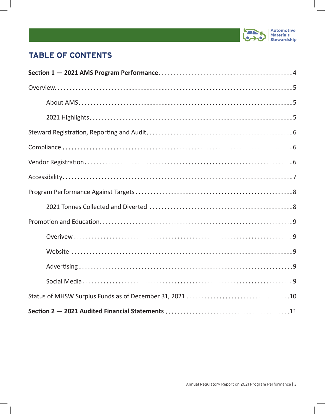

# **TABLE OF CONTENTS**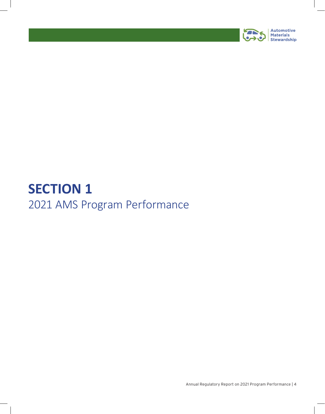

# **SECTION 1** 2021 AMS Program Performance

Annual Regulatory Report on 2021 Program Performance | 4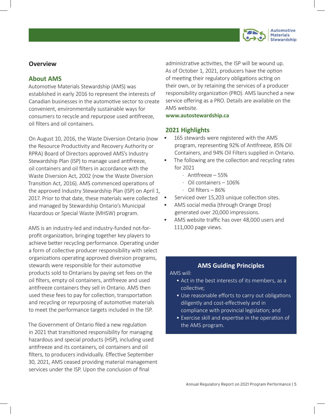

## **Overview**

### **About AMS**

Automotive Materials Stewardship (AMS) was established in early 2016 to represent the interests of Canadian businesses in the automotive sector to create convenient, environmentally sustainable ways for consumers to recycle and repurpose used antifreeze, oil filters and oil containers.

On August 10, 2016, the Waste Diversion Ontario (now the Resource Productivity and Recovery Authority or RPRA) Board of Directors approved AMS's Industry Stewardship Plan (ISP) to manage used antifreeze, oil containers and oil filters in accordance with the Waste Diversion Act, 2002 (now the Waste Diversion Transition Act, 2016). AMS commenced operations of the approved Industry Stewardship Plan (ISP) on April 1, 2017. Prior to that date, these materials were collected and managed by Stewardship Ontario's Municipal Hazardous or Special Waste (MHSW) program.

AMS is an industry-led and industry-funded not-forprofit organization, bringing together key players to achieve better recycling performance. Operating under a form of collective producer responsibility with select organizations operating approved diversion programs, stewards were responsible for their automotive products sold to Ontarians by paying set fees on the oil filters, empty oil containers, antifreeze and used antifreeze containers they sell in Ontario. AMS then used these fees to pay for collection, transportation and recycling or repurposing of automotive materials to meet the performance targets included in the ISP.

The Government of Ontario filed a new regulation in 2021 that transitioned responsibility for managing hazardous and special products (HSP), including used antifreeze and its containers, oil containers and oil filters, to producers individually. Effective September 30, 2021, AMS ceased providing material management services under the ISP. Upon the conclusion of final

administrative activities, the ISP will be wound up. As of October 1, 2021, producers have the option of meeting their regulatory obligations acting on their own, or by retaining the services of a producer responsibility organization (PRO). AMS launched a new service offering as a PRO. Details are available on the AMS website.

#### **www.autostewardship.ca**

#### **2021 Highlights**

- 165 stewards were registered with the AMS program, representing 92% of Antifreeze, 85% Oil Containers, and 94% Oil Filters supplied in Ontario.
- The following are the collection and recycling rates for 2021
	- $\cdot$  Antifreeze 55%
	- · Oil containers 106%
	- $\cdot$  Oil filters 86%
- Serviced over 15,203 unique collection sites.
- AMS social media (through Orange Drop) generated over 20,000 impressions.
- AMS website traffic has over 48,000 users and 111,000 page views.

### **AMS Guiding Principles**

AMS will:

- Act in the best interests of its members, as a collective;
- Use reasonable efforts to carry out obligations diligently and cost-effectively and in compliance with provincial legislation; and
- Exercise skill and expertise in the operation of the AMS program.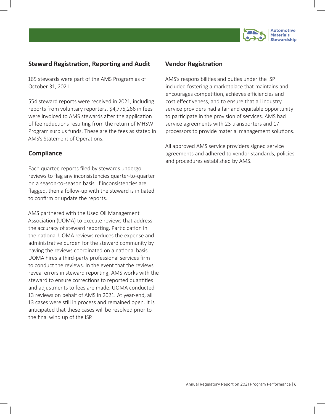

# **Steward Registration, Reporting and Audit**

165 stewards were part of the AMS Program as of October 31, 2021.

554 steward reports were received in 2021, including reports from voluntary reporters. \$4,775,266 in fees were invoiced to AMS stewards after the application of fee reductions resulting from the return of MHSW Program surplus funds. These are the fees as stated in AMS's Statement of Operations.

## **Compliance**

Each quarter, reports filed by stewards undergo reviews to flag any inconsistencies quarter-to-quarter on a season-to-season basis. If inconsistencies are flagged, then a follow-up with the steward is initiated to confirm or update the reports.

AMS partnered with the Used Oil Management Association (UOMA) to execute reviews that address the accuracy of steward reporting. Participation in the national UOMA reviews reduces the expense and administrative burden for the steward community by having the reviews coordinated on a national basis. UOMA hires a third-party professional services firm to conduct the reviews. In the event that the reviews reveal errors in steward reporting, AMS works with the steward to ensure corrections to reported quantities and adjustments to fees are made. UOMA conducted 13 reviews on behalf of AMS in 2021. At year-end, all 13 cases were still in process and remained open. It is anticipated that these cases will be resolved prior to the final wind up of the ISP.

### **Vendor Registration**

AMS's responsibilities and duties under the ISP included fostering a marketplace that maintains and encourages competition, achieves efficiencies and cost effectiveness, and to ensure that all industry service providers had a fair and equitable opportunity to participate in the provision of services. AMS had service agreements with 23 transporters and 17 processors to provide material management solutions.

All approved AMS service providers signed service agreements and adhered to vendor standards, policies and procedures established by AMS.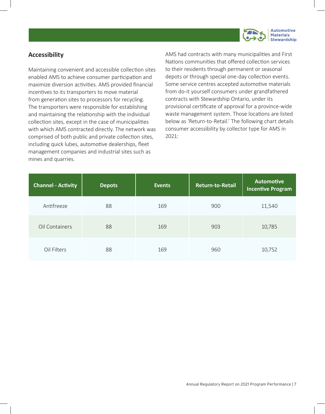

# **Accessibility**

Maintaining convenient and accessible collection sites enabled AMS to achieve consumer participation and maximize diversion activities. AMS provided financial incentives to its transporters to move material from generation sites to processors for recycling. The transporters were responsible for establishing and maintaining the relationship with the individual collection sites, except in the case of municipalities with which AMS contracted directly. The network was comprised of both public and private collection sites, including quick lubes, automotive dealerships, fleet management companies and industrial sites such as mines and quarries.

AMS had contracts with many municipalities and First Nations communities that offered collection services to their residents through permanent or seasonal depots or through special one-day collection events. Some service centres accepted automotive materials from do-it yourself consumers under grandfathered contracts with Stewardship Ontario, under its provisional certificate of approval for a province-wide waste management system. Those locations are listed below as 'Return-to-Retail.' The following chart details consumer accessibility by collector type for AMS in 2021:

| <b>Channel - Activity</b> | <b>Depots</b> | Events | <b>Return-to-Retail</b> | <b>Automotive</b><br><b>Incentive Program</b> |
|---------------------------|---------------|--------|-------------------------|-----------------------------------------------|
| Antifreeze                | 88            | 169    | 900                     | 11,540                                        |
| Oil Containers            | 88<br>169     |        | 903                     | 10,785                                        |
| Oil Filters               | 88            | 169    | 960                     | 10,752                                        |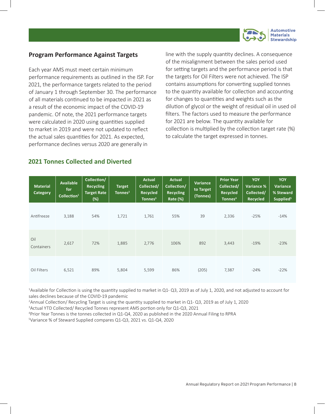#### **Automotive Materials Stewardship**

## **Program Performance Against Targets**

Each year AMS must meet certain minimum performance requirements as outlined in the ISP. For 2021, the performance targets related to the period of January 1 through September 30. The performance of all materials continued to be impacted in 2021 as a result of the economic impact of the COVID-19 pandemic. Of note, the 2021 performance targets were calculated in 2020 using quantities supplied to market in 2019 and were not updated to reflect the actual sales quantities for 2021. As expected, performance declines versus 2020 are generally in

line with the supply quantity declines. A consequence of the misalignment between the sales period used for setting targets and the performance period is that the targets for Oil Filters were not achieved. The ISP contains assumptions for converting supplied tonnes to the quantity available for collection and accounting for changes to quantities and weights such as the dilution of glycol or the weight of residual oil in used oil filters. The factors used to measure the performance for 2021 are below. The quantity available for collection is multiplied by the collection target rate (%) to calculate the target expressed in tonnes.

# **2021 Tonnes Collected and Diverted**

| <b>Material</b><br><b>Category</b> | <b>Available</b><br>for<br>Collection <sup>1</sup> | Collection/<br><b>Recycling</b><br><b>Target Rate</b><br>(%) | <b>Target</b><br>Tonnes <sup>2</sup> | <b>Actual</b><br>Collected/<br>Recycled<br>Tonnes <sup>3</sup> | <b>Actual</b><br>Collection/<br><b>Recycling</b><br>Rate (%) | Variance<br>to Target<br>(Tonnes) | <b>Prior Year</b><br>Collected/<br><b>Recycled</b><br>Tonnes <sup>4</sup> | <b>YOY</b><br>Variance %<br>Collected/<br><b>Recycled</b> | <b>YOY</b><br><b>Variance</b><br>% Steward<br>Supplied <sup>5</sup> |
|------------------------------------|----------------------------------------------------|--------------------------------------------------------------|--------------------------------------|----------------------------------------------------------------|--------------------------------------------------------------|-----------------------------------|---------------------------------------------------------------------------|-----------------------------------------------------------|---------------------------------------------------------------------|
| Antifreeze                         | 3,188                                              | 54%                                                          | 1,721                                | 1,761                                                          | 55%                                                          | 39                                | 2,336                                                                     | $-25%$                                                    | $-14%$                                                              |
| Oil<br>Containers                  | 2,617                                              | 72%                                                          | 1,885                                | 2,776                                                          | 106%                                                         | 892                               | 3,443                                                                     | $-19%$                                                    | $-23%$                                                              |
| Oil Filters                        | 6,521                                              | 89%                                                          | 5,804                                | 5,599                                                          | 86%                                                          | (205)                             | 7,387                                                                     | $-24%$                                                    | $-22%$                                                              |

<sup>1</sup>Available for Collection is using the quantity supplied to market in Q1- Q3, 2019 as of July 1, 2020, and not adjusted to account for sales declines because of the COVID-19 pandemic

<sup>2</sup> Annual Collection/ Recycling Target is using the quantity supplied to market in Q1- Q3, 2019 as of July 1, 2020

<sup>3</sup> Actual YTD Collected/ Recycled Tonnes represent AMS portion only for Q1-Q3, 2021

4 Prior Year Tonnes is the tonnes collected in Q1-Q4, 2020 as published in the 2020 Annual Filing to RPRA

<sup>5</sup>Variance % of Steward Supplied compares Q1-Q3, 2021 vs. Q1-Q4, 2020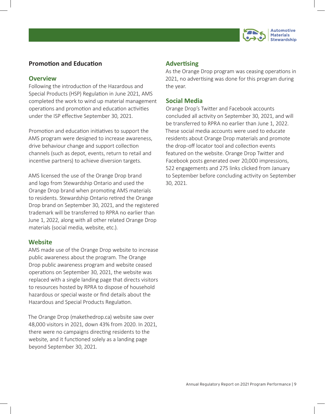

## **Promotion and Education**

#### **Overview**

Following the introduction of the Hazardous and Special Products (HSP) Regulation in June 2021, AMS completed the work to wind up material management operations and promotion and education activities under the ISP effective September 30, 2021.

Promotion and education initiatives to support the AMS program were designed to increase awareness, drive behaviour change and support collection channels (such as depot, events, return to retail and incentive partners) to achieve diversion targets.

AMS licensed the use of the Orange Drop brand and logo from Stewardship Ontario and used the Orange Drop brand when promoting AMS materials to residents. Stewardship Ontario retired the Orange Drop brand on September 30, 2021, and the registered trademark will be transferred to RPRA no earlier than June 1, 2022, along with all other related Orange Drop materials (social media, website, etc.).

#### **Website**

AMS made use of the Orange Drop website to increase public awareness about the program. The Orange Drop public awareness program and website ceased operations on September 30, 2021, the website was replaced with a single landing page that directs visitors to resources hosted by RPRA to dispose of household hazardous or special waste or find details about the Hazardous and Special Products Regulation.

The Orange Drop (makethedrop.ca) website saw over 48,000 visitors in 2021, down 43% from 2020. In 2021, there were no campaigns directing residents to the website, and it functioned solely as a landing page beyond September 30, 2021.

## **Advertising**

As the Orange Drop program was ceasing operations in 2021, no advertising was done for this program during the year.

## **Social Media**

Orange Drop's Twitter and Facebook accounts concluded all activity on September 30, 2021, and will be transferred to RPRA no earlier than June 1, 2022. These social media accounts were used to educate residents about Orange Drop materials and promote the drop-off locator tool and collection events featured on the website. Orange Drop Twitter and Facebook posts generated over 20,000 impressions, 522 engagements and 275 links clicked from January to September before concluding activity on September 30, 2021.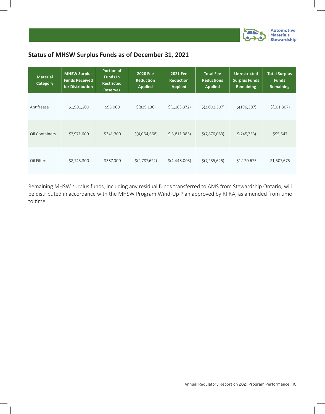

# **Status of MHSW Surplus Funds as of December 31, 2021**

| <b>Material</b><br>Category | <b>MHSW Surplus</b><br><b>Funds Received</b><br>for Distribution | Portion of<br><b>Funds In</b><br><b>Restricted</b><br><b>Reserves</b> | <b>2020 Fee</b><br><b>Reduction</b><br><b>Applied</b> | <b>2021 Fee</b><br><b>Reduction</b><br><b>Applied</b> | <b>Total Fee</b><br><b>Reductions</b><br><b>Applied</b> | <b>Unrestricted</b><br><b>Surplus Funds</b><br>Remaining | <b>Total Surplus</b><br><b>Funds</b><br>Remaining |
|-----------------------------|------------------------------------------------------------------|-----------------------------------------------------------------------|-------------------------------------------------------|-------------------------------------------------------|---------------------------------------------------------|----------------------------------------------------------|---------------------------------------------------|
| Antifreeze                  | \$1,901,200                                                      | \$95,000                                                              | $$$ (839,136)                                         | \$(1,163,372)                                         | \$(2,002,507)                                           | \$(196, 307)                                             | \$(101, 307)                                      |
| Oil Containers              | \$7,971,600                                                      | \$341,300                                                             | \$(4,064,668)                                         | $$$ (3,811,385)                                       | \$(7,876,053)                                           | \$(245,753)                                              | \$95,547                                          |
| Oil Filters                 | \$8,743,300                                                      | \$387,000                                                             | \$(2,787,622)                                         | \$(4,448,003)                                         | \$(7,235,625)                                           | \$1,120,675                                              | \$1,507,675                                       |

Remaining MHSW surplus funds, including any residual funds transferred to AMS from Stewardship Ontario, will be distributed in accordance with the MHSW Program Wind-Up Plan approved by RPRA, as amended from time to time.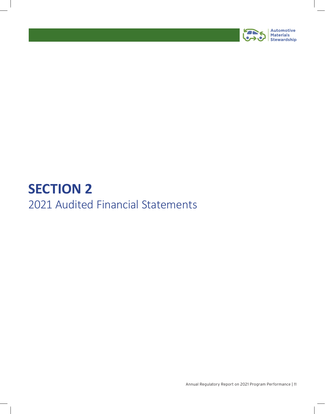

# **SECTION 2** 2021 Audited Financial Statements

Annual Regulatory Report on 2021 Program Performance | 11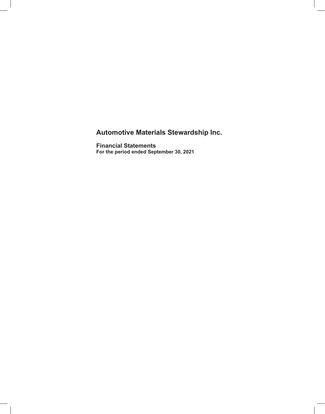# **Automotive Materials Stewardship Inc.**

**Financial Statements For the period ended September 30, 2021**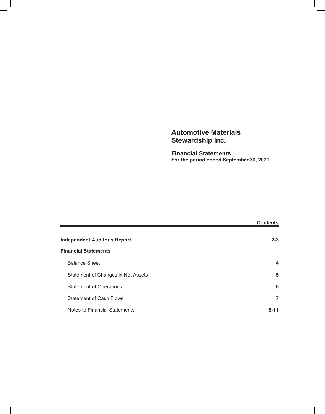# **Automotive Materials Stewardship Inc.**

**Financial Statements For the period ended September 30, 2021**

|                                     | <b>Contents</b> |
|-------------------------------------|-----------------|
| <b>Independent Auditor's Report</b> | $2 - 3$         |
| <b>Financial Statements</b>         |                 |
| <b>Balance Sheet</b>                | 4               |
| Statement of Changes in Net Assets  | 5               |
| <b>Statement of Operations</b>      | 6               |
| <b>Statement of Cash Flows</b>      | 7               |
| Notes to Financial Statements       | $8 - 11$        |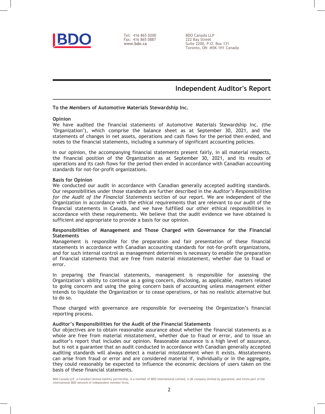

Tel: 416 865 0200 Fax: 416 865 0887 **www.bdo.ca**

BDO Canada LLP 222 Bay Street Suite 2200, P.O. Box 131 Toronto, ON M5K 1H1 Canada

# **Independent Auditor's Report**

#### **To the Members of Automotive Materials Stewardship Inc.**

#### **Opinion**

We have audited the financial statements of Automotive Materials Stewardship Inc. (the "Organization"), which comprise the balance sheet as at September 30, 2021, and the statements of changes in net assets, operations and cash flows for the period then ended, and notes to the financial statements, including a summary of significant accounting policies.

In our opinion, the accompanying financial statements present fairly, in all material respects, the financial position of the Organization as at September 30, 2021, and its results of operations and its cash flows for the period then ended in accordance with Canadian accounting standards for not-for-profit organizations.

#### **Basis for Opinion**

We conducted our audit in accordance with Canadian generally accepted auditing standards. Our responsibilities under those standards are further described in the *Auditor's Responsibilities for the Audit of the Financial Statements* section of our report. We are independent of the Organization in accordance with the ethical requirements that are relevant to our audit of the financial statements in Canada, and we have fulfilled our other ethical responsibilities in accordance with these requirements. We believe that the audit evidence we have obtained is sufficient and appropriate to provide a basis for our opinion.

#### **Responsibilities of Management and Those Charged with Governance for the Financial Statements**

Management is responsible for the preparation and fair presentation of these financial statements in accordance with Canadian accounting standards for not-for-profit organizations, and for such internal control as management determines is necessary to enable the preparation of financial statements that are free from material misstatement, whether due to fraud or error.

In preparing the financial statements, management is responsible for assessing the Organization's ability to continue as a going concern, disclosing, as applicable, matters related to going concern and using the going concern basis of accounting unless management either intends to liquidate the Organization or to cease operations, or has no realistic alternative but to do so.

Those charged with governance are responsible for overseeing the Organization's financial reporting process.

#### **Auditor's Responsibilities for the Audit of the Financial Statements**

Our objectives are to obtain reasonable assurance about whether the financial statements as a whole are free from material misstatement, whether due to fraud or error, and to issue an auditor's report that includes our opinion. Reasonable assurance is a high level of assurance, but is not a guarantee that an audit conducted in accordance with Canadian generally accepted auditing standards will always detect a material misstatement when it exists. Misstatements can arise from fraud or error and are considered material if, individually or in the aggregate, they could reasonably be expected to influence the economic decisions of users taken on the basis of these financial statements.

BDO Canada LLP, a Canadian limited liability partnership, is a member of BDO International Limited, a UK company limited by guarantee, and forms part of the international BDO network of independent member firms.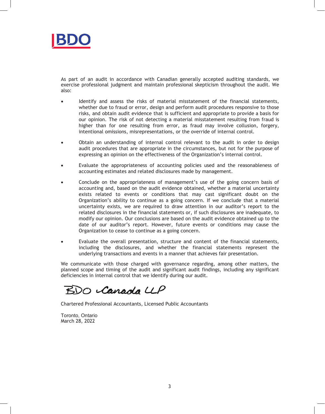

As part of an audit in accordance with Canadian generally accepted auditing standards, we exercise professional judgment and maintain professional skepticism throughout the audit. We also:

- Identify and assess the risks of material misstatement of the financial statements, whether due to fraud or error, design and perform audit procedures responsive to those risks, and obtain audit evidence that is sufficient and appropriate to provide a basis for our opinion. The risk of not detecting a material misstatement resulting from fraud is higher than for one resulting from error, as fraud may involve collusion, forgery, intentional omissions, misrepresentations, or the override of internal control.
- Obtain an understanding of internal control relevant to the audit in order to design audit procedures that are appropriate in the circumstances, but not for the purpose of expressing an opinion on the effectiveness of the Organization's internal control.
- Evaluate the appropriateness of accounting policies used and the reasonableness of accounting estimates and related disclosures made by management.
- Conclude on the appropriateness of management's use of the going concern basis of accounting and, based on the audit evidence obtained, whether a material uncertainty exists related to events or conditions that may cast significant doubt on the Organization's ability to continue as a going concern. If we conclude that a material uncertainty exists, we are required to draw attention in our auditor's report to the related disclosures in the financial statements or, if such disclosures are inadequate, to modify our opinion. Our conclusions are based on the audit evidence obtained up to the date of our auditor's report. However, future events or conditions may cause the Organization to cease to continue as a going concern.
- Evaluate the overall presentation, structure and content of the financial statements, including the disclosures, and whether the financial statements represent the underlying transactions and events in a manner that achieves fair presentation.

We communicate with those charged with governance regarding, among other matters, the planned scope and timing of the audit and significant audit findings, including any significant deficiencies in internal control that we identify during our audit.

BDO Canada LLP

Chartered Professional Accountants, Licensed Public Accountants

Toronto, Ontario March 28, 2022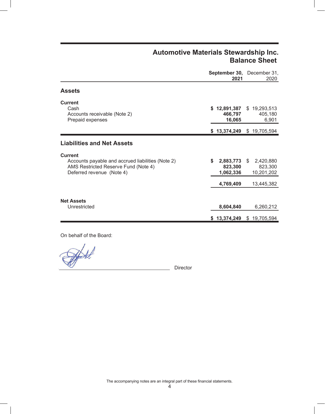|                                                                                                                                   |    | 2021                              | September 30, December 31,<br>2020       |
|-----------------------------------------------------------------------------------------------------------------------------------|----|-----------------------------------|------------------------------------------|
| <b>Assets</b>                                                                                                                     |    |                                   |                                          |
| <b>Current</b><br>Cash<br>Accounts receivable (Note 2)<br>Prepaid expenses                                                        | S. | 12,891,387<br>466,797<br>16,065   | \$19,293,513<br>405,180<br>6,901         |
|                                                                                                                                   |    | \$13,374,249                      | \$19,705,594                             |
| <b>Liabilities and Net Assets</b>                                                                                                 |    |                                   |                                          |
| Current<br>Accounts payable and accrued liabilities (Note 2)<br>AMS Restricted Reserve Fund (Note 4)<br>Deferred revenue (Note 4) | S. | 2,883,773<br>823,300<br>1,062,336 | \$<br>2,420,880<br>823,300<br>10,201,202 |
|                                                                                                                                   |    | 4,769,409                         | 13,445,382                               |
| <b>Net Assets</b><br>Unrestricted                                                                                                 |    | 8,604,840                         | 6,260,212                                |
|                                                                                                                                   |    | \$13,374,249                      | \$19,705,594                             |
|                                                                                                                                   |    |                                   |                                          |

# **Automotive Materials Stewardship Inc. Balance Sheet**

On behalf of the Board:

\_ Director

Annual Regulatory Report on 2021 Program Performance | 16 The accompanying notes are an integral part of these financial statements.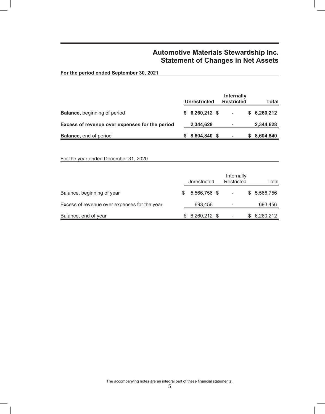# **Automotive Materials Stewardship Inc. Statement of Changes in Net Assets**

**For the period ended September 30, 2021**

|                                                | <b>Unrestricted</b> | <b>Internally</b><br><b>Restricted</b> |    | Total     |
|------------------------------------------------|---------------------|----------------------------------------|----|-----------|
| <b>Balance, beginning of period</b>            | $$6,260,212$ \$     | $\blacksquare$                         | S. | 6,260,212 |
| Excess of revenue over expenses for the period | 2,344,628           | $\blacksquare$                         |    | 2,344,628 |
| <b>Balance, end of period</b>                  | $$8,604,840$ \$     | $\blacksquare$                         | S. | 8,604,840 |

For the year ended December 31, 2020

|                                              |    | Unrestricted    | Internally<br>Restricted | Total       |
|----------------------------------------------|----|-----------------|--------------------------|-------------|
| Balance, beginning of year                   | S. | 5,566,756 \$    |                          | \$5,566,756 |
| Excess of revenue over expenses for the year |    | 693,456         |                          | 693,456     |
| Balance, end of year                         |    | $$6,260,212$ \$ | ٠                        | 6,260,212   |

The accompanying notes are an integral part of these financial statements.<br> $\overline{\phantom{a}}$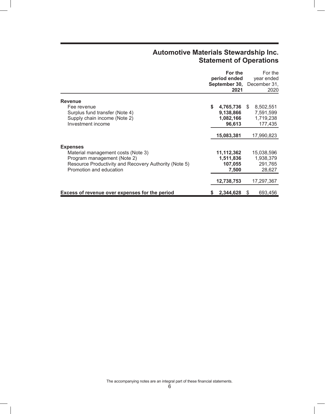# **Automotive Materials Stewardship Inc. Statement of Operations**

|                                                                                                                                                                          |    | For the<br>period ended<br>2021                             | For the<br>year ended<br>September 30, December 31,<br>2020        |
|--------------------------------------------------------------------------------------------------------------------------------------------------------------------------|----|-------------------------------------------------------------|--------------------------------------------------------------------|
| <b>Revenue</b><br>Fee revenue<br>Surplus fund transfer (Note 4)<br>Supply chain income (Note 2)<br>Investment income                                                     | \$ | 4,765,736<br>9,138,866<br>1,082,166<br>96,613<br>15,083,381 | \$<br>8,502,551<br>7,591,599<br>1,719,238<br>177,435<br>17,990,823 |
| <b>Expenses</b><br>Material management costs (Note 3)<br>Program management (Note 2)<br>Resource Productivity and Recovery Authority (Note 5)<br>Promotion and education |    | 11,112,362<br>1,511,836<br>107,055<br>7,500                 | 15,038,596<br>1,938,379<br>291,765<br>28,627                       |
| Excess of revenue over expenses for the period                                                                                                                           | S. | 12,738,753<br>2,344,628                                     | \$<br>17,297,367<br>693,456                                        |

The accompanying notes are an integral part of these financial statements.<br>C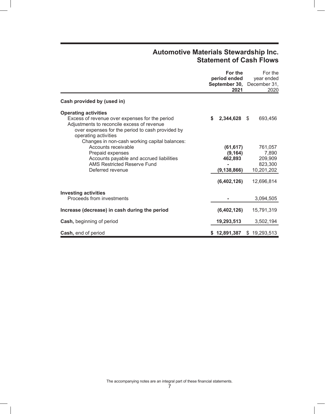# **Automotive Materials Stewardship Inc. Statement of Cash Flows**

|                                                                                                                                                                                                                                                          | For the<br>period ended<br>September 30,<br>2021  |  | For the<br>year ended<br>December 31,<br>2020        |
|----------------------------------------------------------------------------------------------------------------------------------------------------------------------------------------------------------------------------------------------------------|---------------------------------------------------|--|------------------------------------------------------|
| Cash provided by (used in)                                                                                                                                                                                                                               |                                                   |  |                                                      |
| <b>Operating activities</b><br>Excess of revenue over expenses for the period<br>Adjustments to reconcile excess of revenue<br>over expenses for the period to cash provided by<br>operating activities<br>Changes in non-cash working capital balances: | \$<br>2,344,628 \$                                |  | 693,456                                              |
| Accounts receivable<br>Prepaid expenses<br>Accounts payable and accrued liabilities<br><b>AMS Restricted Reserve Fund</b><br>Deferred revenue                                                                                                            | (61, 617)<br>(9, 164)<br>462,893<br>(9, 138, 866) |  | 761,057<br>7,890<br>209,909<br>823,300<br>10,201,202 |
|                                                                                                                                                                                                                                                          | (6,402,126)                                       |  | 12,696,814                                           |
| <b>Investing activities</b><br>Proceeds from investments                                                                                                                                                                                                 |                                                   |  | 3,094,505                                            |
| Increase (decrease) in cash during the period                                                                                                                                                                                                            | (6,402,126)                                       |  | 15,791,319                                           |
| <b>Cash, beginning of period</b>                                                                                                                                                                                                                         | 19,293,513                                        |  | 3,502,194                                            |
| Cash, end of period                                                                                                                                                                                                                                      | \$12,891,387                                      |  | \$19,293,513                                         |

Annual Regulatory Report on 2021 Program Performance | 19 The accompanying notes are an integral part of these financial statements.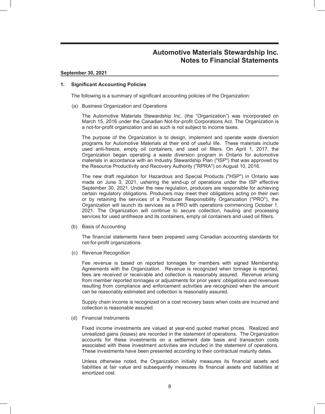#### **September 30, 2021**

#### **1. Significant Accounting Policies**

The following is a summary of significant accounting policies of the Organization:

(a) Business Organization and Operations

The Automotive Materials Stewardship Inc. (the "Organization") was incorporated on March 15, 2016 under the Canadian Not-for-profit Corporations Act. The Organization is a not-for-profit organization and as such is not subject to income taxes.

The purpose of the Organization is to design, implement and operate waste diversion programs for Automotive Materials at their end of useful life. These materials include used anti-freeze, empty oil containers, and used oil filters. On April 1, 2017, the Organization began operating a waste diversion program in Ontario for automotive materials in accordance with an Industry Stewardship Plan ("ISP") that was approved by the Resource Productivity and Recovery Authority ("RPRA") on August 10, 2016.

The new draft regulation for Hazardous and Special Products ("HSP") in Ontario was made on June 3, 2021, ushering the wind-up of operations under the ISP effective September 30, 2021. Under the new regulation, producers are responsible for achieving certain regulatory obligations. Producers may meet their obligations acting on their own or by retaining the services of a Producer Responsibility Organization ("PRO"), the Organization will launch its services as a PRO with operations commencing October 1, 2021. The Organization will continue to secure collection, hauling and processing services for used antifreeze and its containers, empty oil containers and used oil filters.

(b) Basis of Accounting

The financial statements have been prepared using Canadian accounting standards for not-for-profit organizations.

(c) Revenue Recognition

Fee revenue is based on reported tonnages for members with signed Membership Agreements with the Organization. Revenue is recognized when tonnage is reported, fees are received or receivable and collection is reasonably assured. Revenue arising from member reported tonnages or adjustments for prior years' obligations and revenues resulting from compliance and enforcement activities are recognized when the amount can be reasonably estimated and collection is reasonably assured.

Supply chain income is recognized on a cost recovery basis when costs are incurred and collection is reasonable assured.

(d) Financial Instruments

Fixed income investments are valued at year-end quoted market prices. Realized and unrealized gains (losses) are recorded in the statement of operations. The Organization accounts for these investments on a settlement date basis and transaction costs associated with these investment activities are included in the statement of operations. These investments have been presented according to their contractual maturity dates.

Unless otherwise noted, the Organization initially measures its financial assets and liabilities at fair value and subsequently measures its financial assets and liabilities at amortized cost.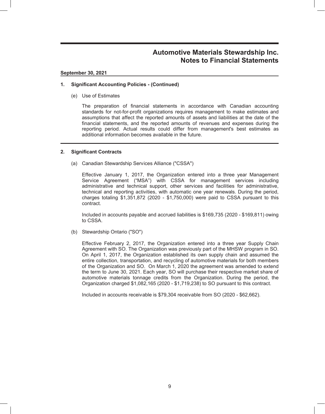#### **September 30, 2021**

#### **1. Significant Accounting Policies - (Continued)**

(e) Use of Estimates

The preparation of financial statements in accordance with Canadian accounting standards for not-for-profit organizations requires management to make estimates and assumptions that affect the reported amounts of assets and liabilities at the date of the financial statements, and the reported amounts of revenues and expenses during the reporting period. Actual results could differ from management's best estimates as additional information becomes available in the future.

#### **2. Significant Contracts**

(a) Canadian Stewardship Services Alliance ("CSSA")

Effective January 1, 2017, the Organization entered into a three year Management Service Agreement ("MSA") with CSSA for management services including administrative and technical support, other services and facilities for administrative, technical and reporting activities, with automatic one year renewals. During the period, charges totaling \$1,351,872 (2020 - \$1,750,000) were paid to CSSA pursuant to this contract.

Included in accounts payable and accrued liabilities is \$169,735 (2020 - \$169,811) owing to CSSA.

(b) Stewardship Ontario ("SO")

Effective February 2, 2017, the Organization entered into a three year Supply Chain Agreement with SO. The Organization was previously part of the MHSW program in SO. On April 1, 2017, the Organization established its own supply chain and assumed the entire collection, transportation, and recycling of automotive materials for both members of the Organization and SO. On March 1, 2020 the agreement was amended to extend the term to June 30, 2021. Each year, SO will purchase their respective market share of automotive materials tonnage credits from the Organization. During the period, the Organization charged \$1,082,165 (2020 - \$1,719,238) to SO pursuant to this contract.

Included in accounts receivable is \$79,304 receivable from SO (2020 - \$62,662).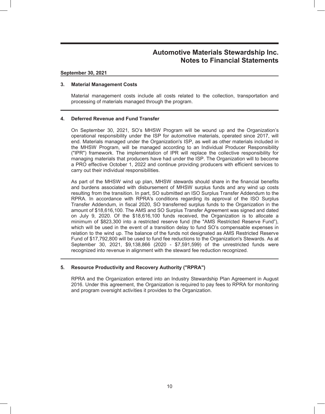**September 30, 2021**

#### **3. Material Management Costs**

Material management costs include all costs related to the collection, transportation and processing of materials managed through the program.

#### **4. Deferred Revenue and Fund Transfer**

On September 30, 2021, SO's MHSW Program will be wound up and the Organization's operational responsibility under the ISP for automotive materials, operated since 2017, will end. Materials managed under the Organization's ISP, as well as other materials included in the MHSW Program, will be managed according to an Individual Producer Responsibility ("IPR") framework. The implementation of IPR will replace the collective responsibility for managing materials that producers have had under the ISP. The Organization will to become a PRO effective October 1, 2022 and continue providing producers with efficient services to carry out their individual responsibilities.

As part of the MHSW wind up plan, MHSW stewards should share in the financial benefits and burdens associated with disbursement of MHSW surplus funds and any wind up costs resulting from the transition. In part, SO submitted an ISO Surplus Transfer Addendum to the RPRA. In accordance with RPRA's conditions regarding its approval of the ISO Surplus Transfer Addendum, in fiscal 2020, SO transferred surplus funds to the Organization in the amount of \$18,616,100. The AMS and SO Surplus Transfer Agreement was signed and dated on July 9, 2020. Of the \$18,616,100 funds received, the Organization is to allocate a minimum of \$823,300 into a restricted reserve fund (the "AMS Restricted Reserve Fund"), which will be used in the event of a transition delay to fund SO's compensable expenses in relation to the wind up. The balance of the funds not designated as AMS Restricted Reserve Fund of \$17,792,800 will be used to fund fee reductions to the Organization's Stewards. As at September 30, 2021, \$9,138,866 (2020 - \$7,591,599) of the unrestricted funds were recognized into revenue in alignment with the steward fee reduction recognized.

#### **5. Resource Productivity and Recovery Authority ("RPRA")**

RPRA and the Organization entered into an Industry Stewardship Plan Agreement in August 2016. Under this agreement, the Organization is required to pay fees to RPRA for monitoring and program oversight activities it provides to the Organization.